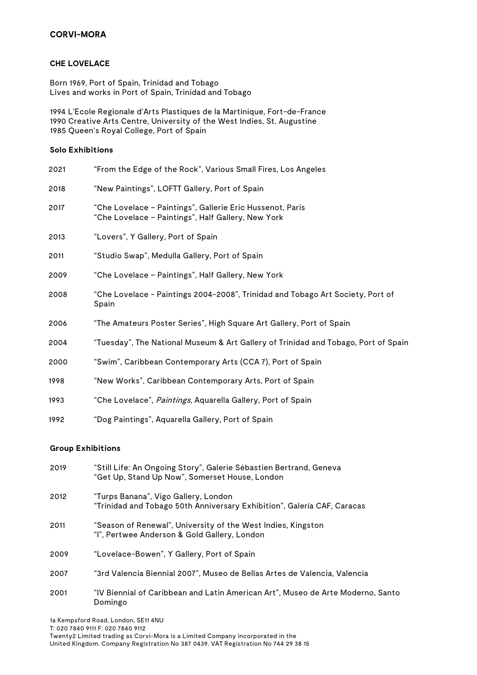# **CORVI-MORA**

#### **CHE LOVELACE**

Born 1969, Port of Spain, Trinidad and Tobago Lives and works in Port of Spain, Trinidad and Tobago

1994 L'Ecole Regionale d'Arts Plastiques de la Martinique, Fort-de-France 1990 Creative Arts Centre, University of the West Indies, St. Augustine 1985 Queen's Royal College, Port of Spain

#### **Solo Exhibitions**

| 2021 | "From the Edge of the Rock", Various Small Fires, Los Angeles                                                   |
|------|-----------------------------------------------------------------------------------------------------------------|
| 2018 | "New Paintings", LOFTT Gallery, Port of Spain                                                                   |
| 2017 | "Che Lovelace - Paintings", Gallerie Eric Hussenot, Paris<br>"Che Lovelace - Paintings", Half Gallery, New York |
| 2013 | "Lovers", Y Gallery, Port of Spain                                                                              |
| 2011 | "Studio Swap", Medulla Gallery, Port of Spain                                                                   |
| 2009 | "Che Lovelace – Paintings", Half Gallery, New York                                                              |
| 2008 | "Che Lovelace - Paintings 2004-2008", Trinidad and Tobago Art Society, Port of<br>Spain                         |
| 2006 | "The Amateurs Poster Series", High Square Art Gallery, Port of Spain                                            |
| 2004 | "Tuesday", The National Museum & Art Gallery of Trinidad and Tobago, Port of Spain                              |
| 2000 | "Swim", Caribbean Contemporary Arts (CCA 7), Port of Spain                                                      |
| 1998 | "New Works", Caribbean Contemporary Arts, Port of Spain                                                         |
| 1993 | "Che Lovelace", <i>Paintings</i> , Aquarella Gallery, Port of Spain                                             |
| 1992 | "Dog Paintings", Aquarella Gallery, Port of Spain                                                               |

#### **Group Exhibitions**

| 2019 | "Still Life: An Ongoing Story", Galerie Sébastien Bertrand, Geneva<br>"Get Up, Stand Up Now", Somerset House, London |
|------|----------------------------------------------------------------------------------------------------------------------|
| 2012 | "Turps Banana", Vigo Gallery, London<br>"Trinidad and Tobago 50th Anniversary Exhibition", Galería CAF, Caracas      |
| 2011 | "Season of Renewal", University of the West Indies, Kingston<br>"I", Pertwee Anderson & Gold Gallery, London         |
| 2009 | "Lovelace-Bowen", Y Gallery, Port of Spain                                                                           |
| 2007 | "3rd Valencia Biennial 2007", Museo de Bellas Artes de Valencia, Valencia                                            |
| 2001 | "IV Biennial of Caribbean and Latin American Art", Museo de Arte Moderno, Santo<br>Domingo                           |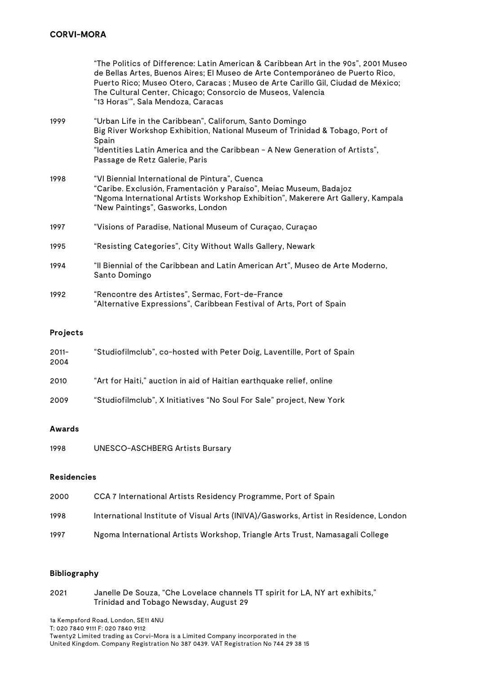|      | "The Politics of Difference: Latin American & Caribbean Art in the 90s", 2001 Museo<br>de Bellas Artes, Buenos Aires; El Museo de Arte Contemporáneo de Puerto Rico,<br>Puerto Rico; Museo Otero, Caracas ; Museo de Arte Carillo Gil, Ciudad de México;<br>The Cultural Center, Chicago; Consorcio de Museos, Valencia<br>"13 Horas'", Sala Mendoza, Caracas |
|------|---------------------------------------------------------------------------------------------------------------------------------------------------------------------------------------------------------------------------------------------------------------------------------------------------------------------------------------------------------------|
| 1999 | "Urban Life in the Caribbean", Califorum, Santo Domingo<br>Big River Workshop Exhibition, National Museum of Trinidad & Tobago, Port of<br>Spain<br>"Identities Latin America and the Caribbean - A New Generation of Artists",<br>Passage de Retz Galerie, Paris                                                                                             |
| 1998 | "VI Biennial International de Pintura", Cuenca<br>"Caribe. Exclusión, Framentación y Paraíso", Meiac Museum, Badajoz<br>"Ngoma International Artists Workshop Exhibition", Makerere Art Gallery, Kampala<br>"New Paintings", Gasworks, London                                                                                                                 |
| 1997 | "Visions of Paradise, National Museum of Curaçao, Curaçao                                                                                                                                                                                                                                                                                                     |
| 1995 | "Resisting Categories", City Without Walls Gallery, Newark                                                                                                                                                                                                                                                                                                    |
| 1994 | "Il Biennial of the Caribbean and Latin American Art", Museo de Arte Moderno,<br>Santo Domingo                                                                                                                                                                                                                                                                |
| 1992 | "Rencontre des Artistes", Sermac, Fort-de-France<br>"Alternative Expressions", Caribbean Festival of Arts, Port of Spain                                                                                                                                                                                                                                      |

### **Projects**

| $2011 -$<br>2004 | "Studiofilmclub", co-hosted with Peter Doig, Laventille, Port of Spain |
|------------------|------------------------------------------------------------------------|
| 2010             | "Art for Haiti," auction in aid of Haitian earthquake relief, online   |
| 2009             | "Studiofilmclub", X Initiatives "No Soul For Sale" project, New York   |

### **Awards**

1998 UNESCO-ASCHBERG Artists Bursary

### **Residencies**

| 2000 | CCA 7 International Artists Residency Programme, Port of Spain                       |
|------|--------------------------------------------------------------------------------------|
| 1998 | International Institute of Visual Arts (INIVA)/Gasworks, Artist in Residence, London |
| 1997 | Ngoma International Artists Workshop, Triangle Arts Trust, Namasagali College        |

#### **Bibliography**

| 2021 | Janelle De Souza, "Che Lovelace channels TT spirit for LA, NY art exhibits," |
|------|------------------------------------------------------------------------------|
|      | Trinidad and Tobago Newsday, August 29                                       |